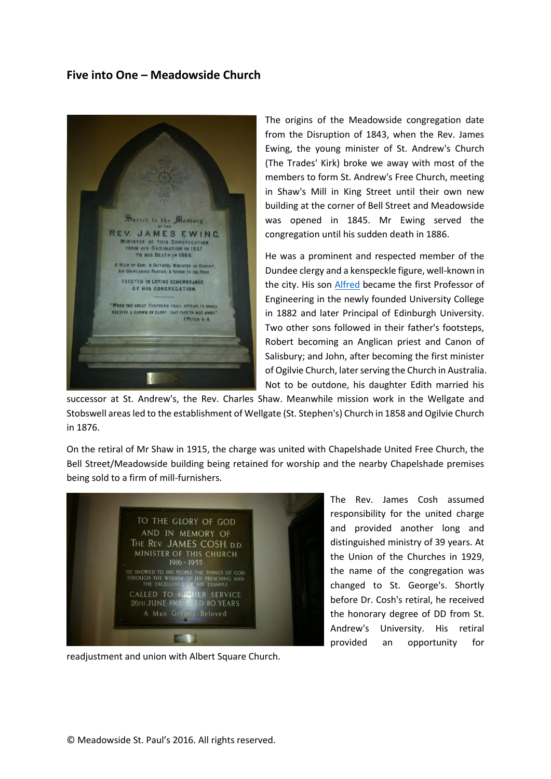## **Five into One – Meadowside Church**



The origins of the Meadowside congregation date from the Disruption of 1843, when the Rev. James Ewing, the young minister of St. Andrew's Church (The Trades' Kirk) broke we away with most of the members to form St. Andrew's Free Church, meeting in Shaw's Mill in King Street until their own new building at the corner of Bell Street and Meadowside was opened in 1845. Mr Ewing served the congregation until his sudden death in 1886.

He was a prominent and respected member of the Dundee clergy and a kenspeckle figure, well-known in the city. His son [Alfred](https://en.wikipedia.org/wiki/James_Alfred_Ewing) became the first Professor of Engineering in the newly founded University College in 1882 and later Principal of Edinburgh University. Two other sons followed in their father's footsteps, Robert becoming an Anglican priest and Canon of Salisbury; and John, after becoming the first minister of Ogilvie Church, later serving the Church in Australia. Not to be outdone, his daughter Edith married his

successor at St. Andrew's, the Rev. Charles Shaw. Meanwhile mission work in the Wellgate and Stobswell areas led to the establishment of Wellgate (St. Stephen's) Church in 1858 and Ogilvie Church in 1876.

On the retiral of Mr Shaw in 1915, the charge was united with Chapelshade United Free Church, the Bell Street/Meadowside building being retained for worship and the nearby Chapelshade premises being sold to a firm of mill-furnishers.



readjustment and union with Albert Square Church.

The Rev. James Cosh assumed responsibility for the united charge and provided another long and distinguished ministry of 39 years. At the Union of the Churches in 1929, the name of the congregation was changed to St. George's. Shortly before Dr. Cosh's retiral, he received the honorary degree of DD from St. Andrew's University. His retiral provided an opportunity for